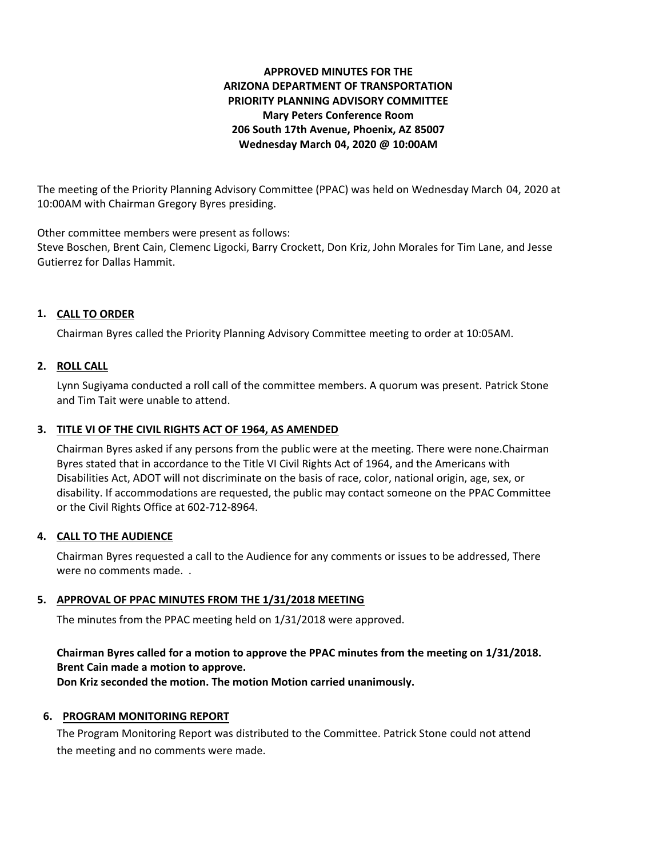# **APPROVED MINUTES FOR THE ARIZONA DEPARTMENT OF TRANSPORTATION PRIORITY PLANNING ADVISORY COMMITTEE Mary Peters Conference Room 206 South 17th Avenue, Phoenix, AZ 85007 Wednesday March 04, 2020 @ 10:00AM**

The meeting of the Priority Planning Advisory Committee (PPAC) was held on Wednesday March 04, 2020 at 10:00AM with Chairman Gregory Byres presiding.

Other committee members were present as follows:

Steve Boschen, Brent Cain, Clemenc Ligocki, Barry Crockett, Don Kriz, John Morales for Tim Lane, and Jesse Gutierrez for Dallas Hammit.

# **CALL TO ORDER 1.**

Chairman Byres called the Priority Planning Advisory Committee meeting to order at 10:05AM.

## **ROLL CALL 2.**

Lynn Sugiyama conducted a roll call of the committee members. A quorum was present. Patrick Stone and Tim Tait were unable to attend.

# **TITLE VI OF THE CIVIL RIGHTS ACT OF 1964, AS AMENDED 3.**

Chairman Byres asked if any persons from the public were at the meeting. There were none.Chairman Byres stated that in accordance to the Title VI Civil Rights Act of 1964, and the Americans with Disabilities Act, ADOT will not discriminate on the basis of race, color, national origin, age, sex, or disability. If accommodations are requested, the public may contact someone on the PPAC Committee or the Civil Rights Office at 602-712-8964.

## **CALL TO THE AUDIENCE 4.**

Chairman Byres requested a call to the Audience for any comments or issues to be addressed, There were no comments made. .

## **APPROVAL OF PPAC MINUTES FROM THE 1/31/2018 MEETING 5.**

The minutes from the PPAC meeting held on 1/31/2018 were approved.

# **Chairman Byres called for a motion to approve the PPAC minutes from the meeting on 1/31/2018. Brent Cain made a motion to approve.**

**Don Kriz seconded the motion. The motion Motion carried unanimously.**

## **6. PROGRAM MONITORING REPORT**

The Program Monitoring Report was distributed to the Committee. Patrick Stone could not attend the meeting and no comments were made.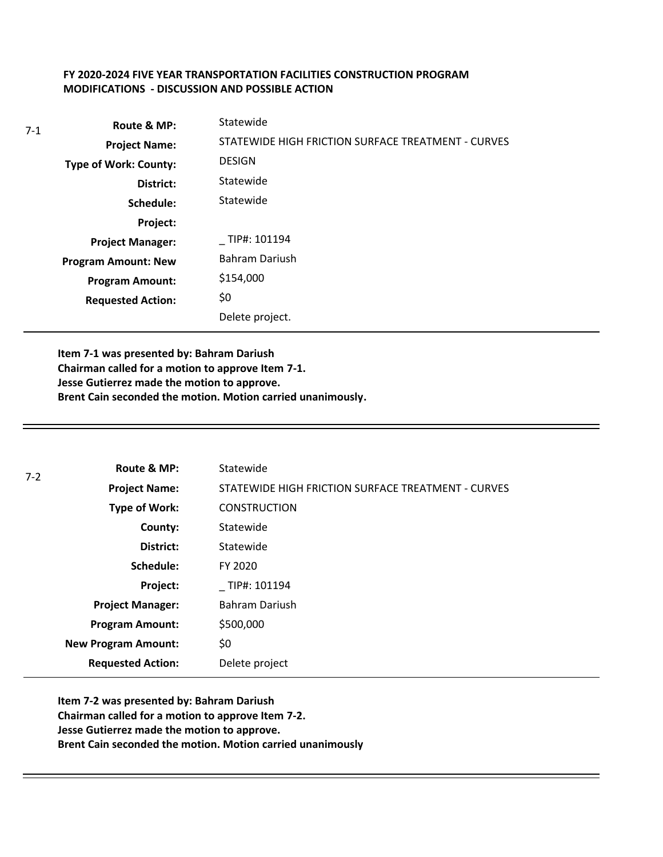## **FY 2020-2024 FIVE YEAR TRANSPORTATION FACILITIES CONSTRUCTION PROGRAM MODIFICATIONS - DISCUSSION AND POSSIBLE ACTION**

| 7-1 | Route & MP:                  | Statewide                                          |
|-----|------------------------------|----------------------------------------------------|
|     | <b>Project Name:</b>         | STATEWIDE HIGH FRICTION SURFACE TREATMENT - CURVES |
|     | <b>Type of Work: County:</b> | <b>DESIGN</b>                                      |
|     | District:                    | Statewide                                          |
|     | Schedule:                    | Statewide                                          |
|     | Project:                     |                                                    |
|     | <b>Project Manager:</b>      | TIP#: 101194                                       |
|     | <b>Program Amount: New</b>   | <b>Bahram Dariush</b>                              |
|     | <b>Program Amount:</b>       | \$154,000                                          |
|     | <b>Requested Action:</b>     | \$0                                                |
|     |                              | Delete project.                                    |

**Item 7-1 was presented by: Bahram Dariush Chairman called for a motion to approve Item 7-1. Jesse Gutierrez made the motion to approve. Brent Cain seconded the motion. Motion carried unanimously.**

| $7-2$ | Route & MP:                | Statewide                                          |
|-------|----------------------------|----------------------------------------------------|
|       | <b>Project Name:</b>       | STATEWIDE HIGH FRICTION SURFACE TREATMENT - CURVES |
|       | <b>Type of Work:</b>       | <b>CONSTRUCTION</b>                                |
|       | County:                    | Statewide                                          |
|       | District:                  | Statewide                                          |
|       | Schedule:                  | FY 2020                                            |
|       | Project:                   | TIP#: 101194                                       |
|       | <b>Project Manager:</b>    | Bahram Dariush                                     |
|       | <b>Program Amount:</b>     | \$500,000                                          |
|       | <b>New Program Amount:</b> | \$0                                                |
|       | <b>Requested Action:</b>   | Delete project                                     |

**Item 7-2 was presented by: Bahram Dariush Chairman called for a motion to approve Item 7-2. Jesse Gutierrez made the motion to approve. Brent Cain seconded the motion. Motion carried unanimously**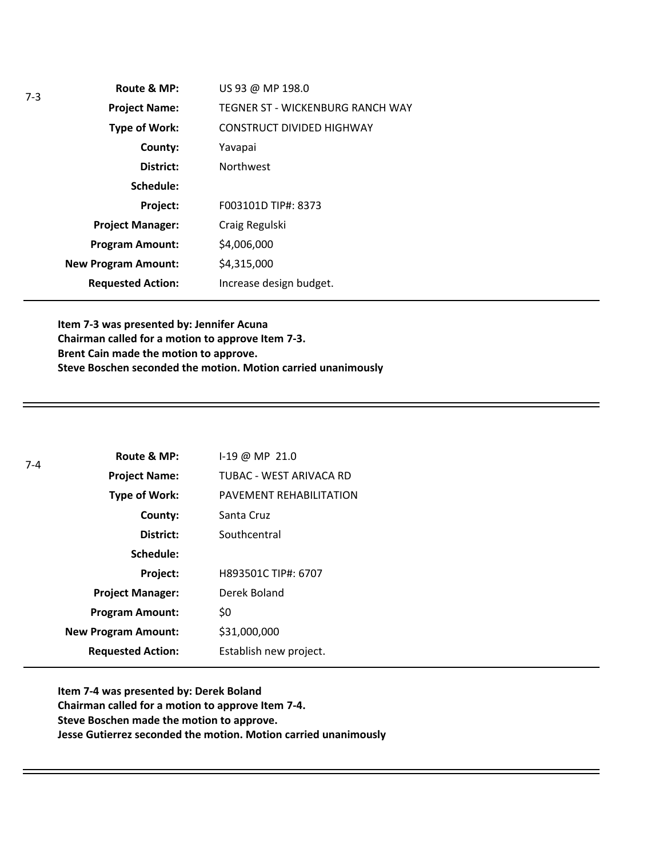| Route & MP:                | US 93 @ MP 198.0                 |
|----------------------------|----------------------------------|
| <b>Project Name:</b>       | TEGNER ST - WICKENBURG RANCH WAY |
| <b>Type of Work:</b>       | <b>CONSTRUCT DIVIDED HIGHWAY</b> |
| County:                    | Yavapai                          |
| District:                  | <b>Northwest</b>                 |
| Schedule:                  |                                  |
| Project:                   | F003101D TIP#: 8373              |
| <b>Project Manager:</b>    | Craig Regulski                   |
| <b>Program Amount:</b>     | \$4,006,000                      |
| <b>New Program Amount:</b> | \$4,315,000                      |
| <b>Requested Action:</b>   | Increase design budget.          |

**Item 7-3 was presented by: Jennifer Acuna Chairman called for a motion to approve Item 7-3. Brent Cain made the motion to approve. Steve Boschen seconded the motion. Motion carried unanimously**

| $7-4$ | Route & MP:                | I-19 @ MP 21.0          |
|-------|----------------------------|-------------------------|
|       | <b>Project Name:</b>       | TUBAC - WEST ARIVACA RD |
|       | <b>Type of Work:</b>       | PAVEMENT REHABILITATION |
|       | County:                    | Santa Cruz              |
|       | District:                  | Southcentral            |
|       | Schedule:                  |                         |
|       | Project:                   | H893501C TIP#: 6707     |
|       | <b>Project Manager:</b>    | Derek Boland            |
|       | <b>Program Amount:</b>     | \$0                     |
|       | <b>New Program Amount:</b> | \$31,000,000            |
|       | <b>Requested Action:</b>   | Establish new project.  |

**Item 7-4 was presented by: Derek Boland Chairman called for a motion to approve Item 7-4. Steve Boschen made the motion to approve. Jesse Gutierrez seconded the motion. Motion carried unanimously**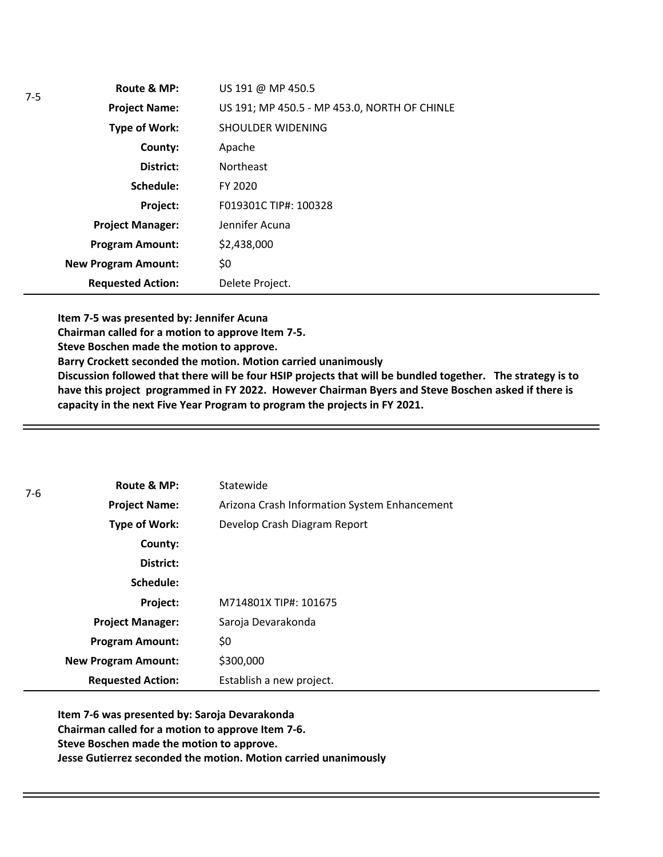| Route & MP:                | US 191 @ MP 450.5                            |
|----------------------------|----------------------------------------------|
| <b>Project Name:</b>       | US 191; MP 450.5 - MP 453.0, NORTH OF CHINLE |
| <b>Type of Work:</b>       | SHOULDER WIDENING                            |
| County:                    | Apache                                       |
| District:                  | <b>Northeast</b>                             |
| Schedule:                  | FY 2020                                      |
| Project:                   | F019301C TIP#: 100328                        |
| <b>Project Manager:</b>    | Jennifer Acuna                               |
| <b>Program Amount:</b>     | \$2,438,000                                  |
| <b>New Program Amount:</b> | \$0                                          |
| <b>Requested Action:</b>   | Delete Project.                              |

**Item 7-5 was presented by: Jennifer Acuna**

**Chairman called for a motion to approve Item 7-5.**

**Steve Boschen made the motion to approve.**

**Barry Crockett seconded the motion. Motion carried unanimously**

**Discussion followed that there will be four HSIP projects that will be bundled together. The strategy is to have this project programmed in FY 2022. However Chairman Byers and Steve Boschen asked if there is capacity in the next Five Year Program to program the projects in FY 2021.** 

| 7-6 | Route & MP:                | Statewide                                    |
|-----|----------------------------|----------------------------------------------|
|     | <b>Project Name:</b>       | Arizona Crash Information System Enhancement |
|     | Type of Work:              | Develop Crash Diagram Report                 |
|     | County:                    |                                              |
|     | District:                  |                                              |
|     | Schedule:                  |                                              |
|     | Project:                   | M714801X TIP#: 101675                        |
|     | <b>Project Manager:</b>    | Saroja Devarakonda                           |
|     | <b>Program Amount:</b>     | \$0                                          |
|     | <b>New Program Amount:</b> | \$300,000                                    |
|     | <b>Requested Action:</b>   | Establish a new project.                     |

**Item 7-6 was presented by: Saroja Devarakonda Chairman called for a motion to approve Item 7-6. Steve Boschen made the motion to approve. Jesse Gutierrez seconded the motion. Motion carried unanimously**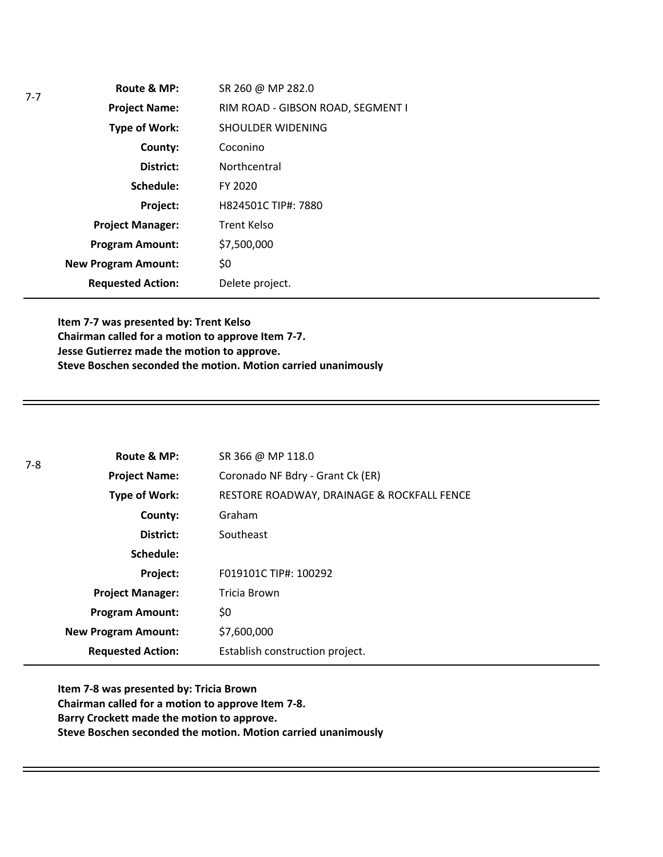| Route & MP:                | SR 260 @ MP 282.0                 |
|----------------------------|-----------------------------------|
| <b>Project Name:</b>       | RIM ROAD - GIBSON ROAD, SEGMENT I |
| Type of Work:              | SHOULDER WIDENING                 |
| County:                    | Coconino                          |
| District:                  | Northcentral                      |
| Schedule:                  | FY 2020                           |
| Project:                   | H824501C TIP#: 7880               |
| <b>Project Manager:</b>    | <b>Trent Kelso</b>                |
| <b>Program Amount:</b>     | \$7,500,000                       |
| <b>New Program Amount:</b> | \$0                               |
| <b>Requested Action:</b>   | Delete project.                   |

7-7

**Item 7-7 was presented by: Trent Kelso Chairman called for a motion to approve Item 7-7. Jesse Gutierrez made the motion to approve. Steve Boschen seconded the motion. Motion carried unanimously**

| $7-8$ | Route & MP:                | SR 366 @ MP 118.0                          |
|-------|----------------------------|--------------------------------------------|
|       | <b>Project Name:</b>       | Coronado NF Bdry - Grant Ck (ER)           |
|       | Type of Work:              | RESTORE ROADWAY, DRAINAGE & ROCKFALL FENCE |
|       | County:                    | Graham                                     |
|       | District:                  | Southeast                                  |
|       | Schedule:                  |                                            |
|       | Project:                   | F019101C TIP#: 100292                      |
|       | <b>Project Manager:</b>    | Tricia Brown                               |
|       | <b>Program Amount:</b>     | \$0                                        |
|       | <b>New Program Amount:</b> | \$7,600,000                                |
|       | <b>Requested Action:</b>   | Establish construction project.            |

**Item 7-8 was presented by: Tricia Brown Chairman called for a motion to approve Item 7-8. Barry Crockett made the motion to approve. Steve Boschen seconded the motion. Motion carried unanimously**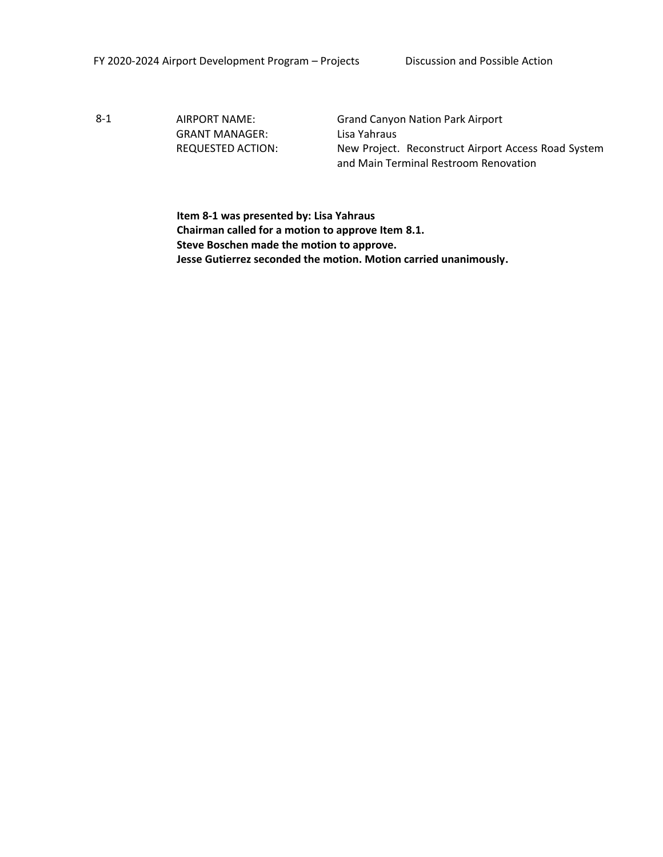GRANT MANAGER: Lisa Yahraus

8-1 AIRPORT NAME: Grand Canyon Nation Park Airport REQUESTED ACTION: New Project. Reconstruct Airport Access Road System and Main Terminal Restroom Renovation

> **Item 8-1 was presented by: Lisa Yahraus Chairman called for a motion to approve Item 8.1. Steve Boschen made the motion to approve. Jesse Gutierrez seconded the motion. Motion carried unanimously.**